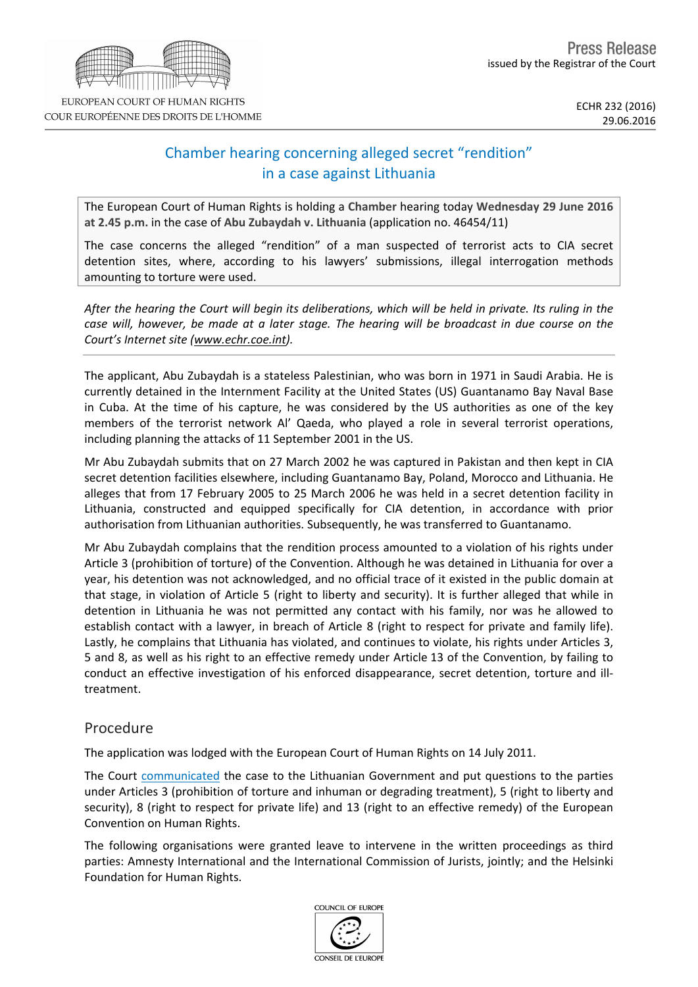# Chamber hearing concerning alleged secret "rendition" in a case against Lithuania

The European Court of Human Rights is holding a **Chamber** hearing today **Wednesday 29 June 2016 at 2.45 p.m.** in the case of **Abu Zubaydah v. Lithuania** (application no. 46454/11)

The case concerns the alleged "rendition" of a man suspected of terrorist acts to CIA secret detention sites, where, according to his lawyers' submissions, illegal interrogation methods amounting to torture were used.

After the hearing the Court will begin its deliberations, which will be held in private. Its ruling in the case will, however, be made at a later stage. The hearing will be broadcast in due course on the *Court's Internet site (www.echr.coe.int).*

The applicant, Abu Zubaydah is a stateless Palestinian, who was born in 1971 in Saudi Arabia. He is currently detained in the Internment Facility at the United States (US) Guantanamo Bay Naval Base in Cuba. At the time of his capture, he was considered by the US authorities as one of the key members of the terrorist network Al' Qaeda, who played a role in several terrorist operations, including planning the attacks of 11 September 2001 in the US.

Mr Abu Zubaydah submits that on 27 March 2002 he was captured in Pakistan and then kept in CIA secret detention facilities elsewhere, including Guantanamo Bay, Poland, Morocco and Lithuania. He alleges that from 17 February 2005 to 25 March 2006 he was held in a secret detention facility in Lithuania, constructed and equipped specifically for CIA detention, in accordance with prior authorisation from Lithuanian authorities. Subsequently, he was transferred to Guantanamo.

Mr Abu Zubaydah complains that the rendition process amounted to a violation of his rights under Article 3 (prohibition of torture) of the Convention. Although he was detained in Lithuania for over a year, his detention was not acknowledged, and no official trace of it existed in the public domain at that stage, in violation of Article 5 (right to liberty and security). It is further alleged that while in detention in Lithuania he was not permitted any contact with his family, nor was he allowed to establish contact with a lawyer, in breach of Article 8 (right to respect for private and family life). Lastly, he complains that Lithuania has violated, and continues to violate, his rights under Articles 3, 5 and 8, as well as his right to an effective remedy under Article 13 of the Convention, by failing to conduct an effective investigation of his enforced disappearance, secret detention, torture and illtreatment.

## Procedure

The application was lodged with the European Court of Human Rights on 14 July 2011.

The Court [communicated](http://hudoc.echr.coe.int/eng?i=001-115816) the case to the Lithuanian Government and put questions to the parties under Articles 3 (prohibition of torture and inhuman or degrading treatment), 5 (right to liberty and security), 8 (right to respect for private life) and 13 (right to an effective remedy) of the European Convention on Human Rights.

The following organisations were granted leave to intervene in the written proceedings as third parties: Amnesty International and the International Commission of Jurists, jointly; and the Helsinki Foundation for Human Rights.